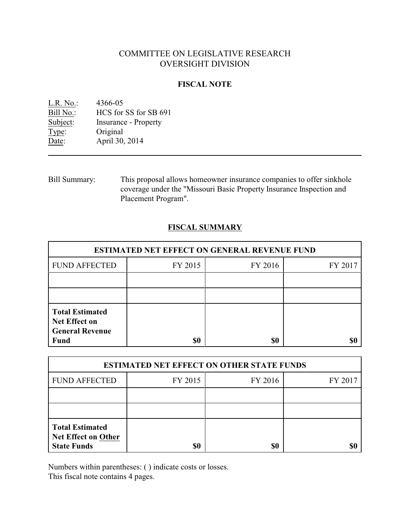# COMMITTEE ON LEGISLATIVE RESEARCH OVERSIGHT DIVISION

### **FISCAL NOTE**

| 4366-05                     |
|-----------------------------|
| HCS for SS for SB 691       |
| <b>Insurance - Property</b> |
| Original                    |
| April 30, 2014              |
|                             |

Bill Summary: This proposal allows homeowner insurance companies to offer sinkhole coverage under the "Missouri Basic Property Insurance Inspection and Placement Program".

## **FISCAL SUMMARY**

| <b>ESTIMATED NET EFFECT ON GENERAL REVENUE FUND</b>                                     |         |         |         |  |
|-----------------------------------------------------------------------------------------|---------|---------|---------|--|
| <b>FUND AFFECTED</b>                                                                    | FY 2015 | FY 2016 | FY 2017 |  |
|                                                                                         |         |         |         |  |
|                                                                                         |         |         |         |  |
| <b>Total Estimated</b><br><b>Net Effect on</b><br><b>General Revenue</b><br><b>Fund</b> | \$0     | \$0     |         |  |

| <b>ESTIMATED NET EFFECT ON OTHER STATE FUNDS</b>                           |         |         |         |  |
|----------------------------------------------------------------------------|---------|---------|---------|--|
| <b>FUND AFFECTED</b>                                                       | FY 2015 | FY 2016 | FY 2017 |  |
|                                                                            |         |         |         |  |
|                                                                            |         |         |         |  |
| <b>Total Estimated</b><br><b>Net Effect on Other</b><br><b>State Funds</b> | \$0     | \$0     |         |  |

Numbers within parentheses: ( ) indicate costs or losses.

This fiscal note contains 4 pages.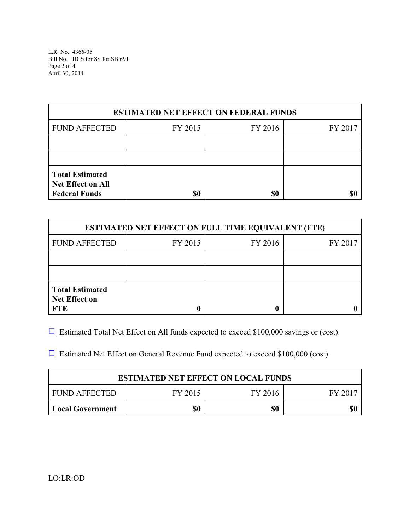L.R. No. 4366-05 Bill No. HCS for SS for SB 691 Page 2 of 4 April 30, 2014

| <b>ESTIMATED NET EFFECT ON FEDERAL FUNDS</b>                               |         |         |         |  |
|----------------------------------------------------------------------------|---------|---------|---------|--|
| <b>FUND AFFECTED</b>                                                       | FY 2015 | FY 2016 | FY 2017 |  |
|                                                                            |         |         |         |  |
|                                                                            |         |         |         |  |
| <b>Total Estimated</b><br><b>Net Effect on All</b><br><b>Federal Funds</b> | \$0     | \$0     |         |  |

| <b>ESTIMATED NET EFFECT ON FULL TIME EQUIVALENT (FTE)</b>    |         |                    |  |  |  |
|--------------------------------------------------------------|---------|--------------------|--|--|--|
| <b>FUND AFFECTED</b>                                         | FY 2015 | FY 2016<br>FY 2017 |  |  |  |
|                                                              |         |                    |  |  |  |
|                                                              |         |                    |  |  |  |
| <b>Total Estimated</b><br><b>Net Effect on</b><br><b>FTE</b> |         |                    |  |  |  |

 $\Box$  Estimated Total Net Effect on All funds expected to exceed \$100,000 savings or (cost).

 $\Box$  Estimated Net Effect on General Revenue Fund expected to exceed \$100,000 (cost).

| <b>ESTIMATED NET EFFECT ON LOCAL FUNDS</b> |         |         |         |  |
|--------------------------------------------|---------|---------|---------|--|
| FUND AFFECTED                              | FY 2015 | FY 2016 | FY 2017 |  |
| <b>Local Government</b>                    | \$0     | \$0     |         |  |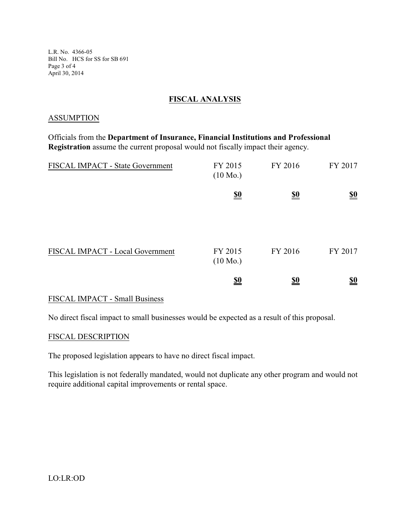L.R. No. 4366-05 Bill No. HCS for SS for SB 691 Page 3 of 4 April 30, 2014

### **FISCAL ANALYSIS**

#### ASSUMPTION

Officials from the **Department of Insurance, Financial Institutions and Professional Registration** assume the current proposal would not fiscally impact their agency.

| FISCAL IMPACT - State Government | FY 2015<br>$(10 \text{ Mo.})$ | FY 2016                       | FY 2017                       |
|----------------------------------|-------------------------------|-------------------------------|-------------------------------|
|                                  | $\underline{\underline{\$0}}$ | $\underline{\underline{\$0}}$ | $\underline{\underline{\$0}}$ |
| FISCAL IMPACT - Local Government | FY 2015<br>$(10 \text{ Mo.})$ | FY 2016                       | FY 2017                       |
|                                  | <u>\$0</u>                    | <u>\$0</u>                    | $\underline{\underline{\$0}}$ |

### FISCAL IMPACT - Small Business

No direct fiscal impact to small businesses would be expected as a result of this proposal.

#### FISCAL DESCRIPTION

The proposed legislation appears to have no direct fiscal impact.

This legislation is not federally mandated, would not duplicate any other program and would not require additional capital improvements or rental space.